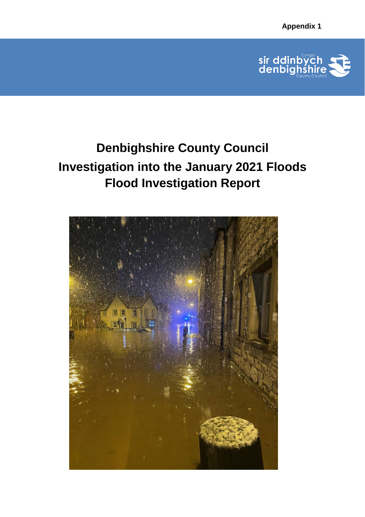

# **Denbighshire County Council Investigation into the January 2021 Floods Flood Investigation Report**

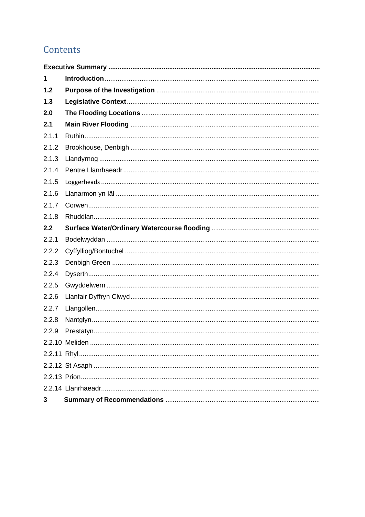# Contents

| 1     |  |
|-------|--|
| 1.2   |  |
| 1.3   |  |
| 2.0   |  |
| 2.1   |  |
| 2.1.1 |  |
| 2.1.2 |  |
| 2.1.3 |  |
| 2.1.4 |  |
| 2.1.5 |  |
| 2.1.6 |  |
| 2.1.7 |  |
| 2.1.8 |  |
| 2.2   |  |
| 2.2.1 |  |
| 2.2.2 |  |
| 2.2.3 |  |
| 2.2.4 |  |
| 2.2.5 |  |
| 2.2.6 |  |
| 2.2.7 |  |
| 2.2.8 |  |
| 2.2.9 |  |
|       |  |
|       |  |
|       |  |
|       |  |
|       |  |
| 3     |  |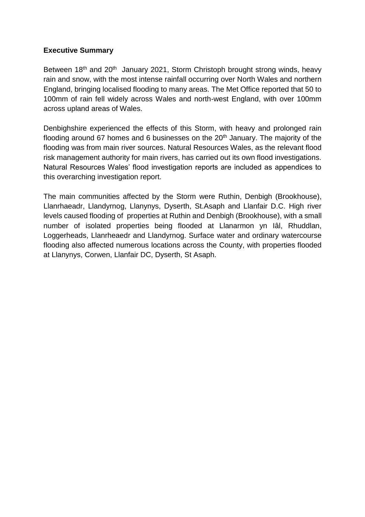#### <span id="page-2-0"></span>**Executive Summary**

Between 18<sup>th</sup> and 20<sup>th</sup> January 2021, Storm Christoph brought strong winds, heavy rain and snow, with the most intense rainfall occurring over North Wales and northern England, bringing localised flooding to many areas. The Met Office reported that 50 to 100mm of rain fell widely across Wales and north-west England, with over 100mm across upland areas of Wales.

Denbighshire experienced the effects of this Storm, with heavy and prolonged rain flooding around 67 homes and 6 businesses on the  $20<sup>th</sup>$  January. The majority of the flooding was from main river sources. Natural Resources Wales, as the relevant flood risk management authority for main rivers, has carried out its own flood investigations. Natural Resources Wales' flood investigation reports are included as appendices to this overarching investigation report.

The main communities affected by the Storm were Ruthin, Denbigh (Brookhouse), Llanrhaeadr, Llandyrnog, Llanynys, Dyserth, St.Asaph and Llanfair D.C. High river levels caused flooding of properties at Ruthin and Denbigh (Brookhouse), with a small number of isolated properties being flooded at Llanarmon yn Iâl, Rhuddlan, Loggerheads, Llanrheaedr and Llandyrnog. Surface water and ordinary watercourse flooding also affected numerous locations across the County, with properties flooded at Llanynys, Corwen, Llanfair DC, Dyserth, St Asaph.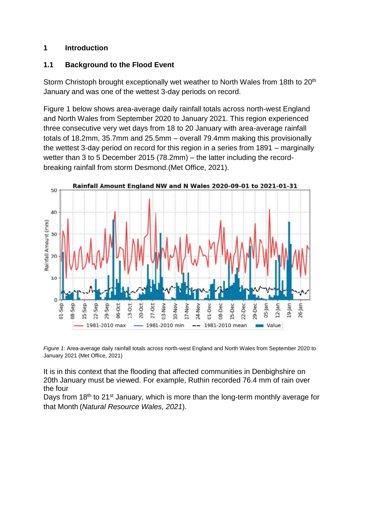#### <span id="page-3-0"></span>**1 Introduction**

#### **1.1 Background to the Flood Event**

Storm Christoph brought exceptionally wet weather to North Wales from 18th to 20<sup>th</sup> January and was one of the wettest 3-day periods on record.

Figure 1 below shows area-average daily rainfall totals across north-west England and North Wales from September 2020 to January 2021. This region experienced three consecutive very wet days from 18 to 20 January with area-average rainfall totals of 18.2mm, 35.7mm and 25.5mm – overall 79.4mm making this provisionally the wettest 3-day period on record for this region in a series from 1891 – marginally wetter than 3 to 5 December 2015 (78.2mm) – the latter including the recordbreaking rainfall from storm Desmond.(Met Office, 2021).





It is in this context that the flooding that affected communities in Denbighshire on 20th January must be viewed. For example, Ruthin recorded 76.4 mm of rain over the four

Days from 18<sup>th</sup> to 21<sup>st</sup> January, which is more than the long-term monthly average for that Month (*Natural Resource Wales, 2021*).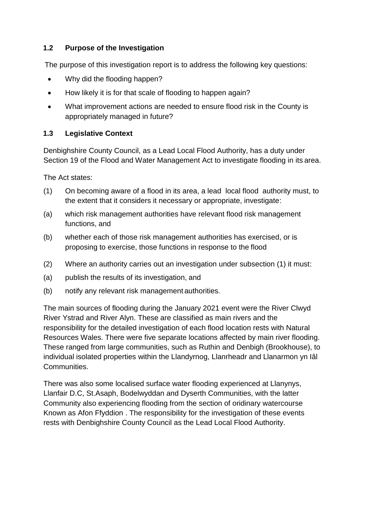#### <span id="page-4-0"></span>**1.2 Purpose of the Investigation**

The purpose of this investigation report is to address the following key questions:

- Why did the flooding happen?
- How likely it is for that scale of flooding to happen again?
- What improvement actions are needed to ensure flood risk in the County is appropriately managed in future?

## <span id="page-4-1"></span>**1.3 Legislative Context**

Denbighshire County Council, as a Lead Local Flood Authority, has a duty under Section 19 of the Flood and Water Management Act to investigate flooding in its area.

The Act states:

- (1) On becoming aware of a flood in its area, a lead local flood authority must, to the extent that it considers it necessary or appropriate, investigate:
- (a) which risk management authorities have relevant flood risk management functions, and
- (b) whether each of those risk management authorities has exercised, or is proposing to exercise, those functions in response to the flood
- (2) Where an authority carries out an investigation under subsection (1) it must:
- (a) publish the results of its investigation, and
- (b) notify any relevant risk management authorities.

The main sources of flooding during the January 2021 event were the River Clwyd River Ystrad and River Alyn. These are classified as main rivers and the responsibility for the detailed investigation of each flood location rests with Natural Resources Wales. There were five separate locations affected by main river flooding. These ranged from large communities, such as Ruthin and Denbigh (Brookhouse), to individual isolated properties within the Llandyrnog, Llanrheadr and Llanarmon yn Iâl Communities.

There was also some localised surface water flooding experienced at Llanynys, Llanfair D.C, St.Asaph, Bodelwyddan and Dyserth Communities, with the latter Community also experiencing flooding from the section of oridinary watercourse Known as Afon Ffyddion . The responsibility for the investigation of these events rests with Denbighshire County Council as the Lead Local Flood Authority.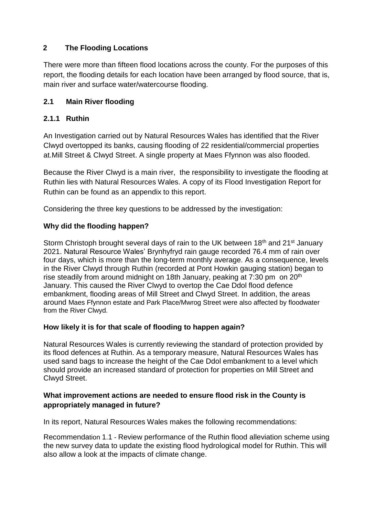#### <span id="page-5-0"></span>**2 The Flooding Locations**

There were more than fifteen flood locations across the county. For the purposes of this report, the flooding details for each location have been arranged by flood source, that is, main river and surface water/watercourse flooding.

#### <span id="page-5-1"></span>**2.1 Main River flooding**

#### **2.1.1 Ruthin**

An Investigation carried out by Natural Resources Wales has identified that the River Clwyd overtopped its banks, causing flooding of 22 residential/commercial properties at.Mill Street & Clwyd Street. A single property at Maes Ffynnon was also flooded.

Because the River Clwyd is a main river, the responsibility to investigate the flooding at Ruthin lies with Natural Resources Wales. A copy of its Flood Investigation Report for Ruthin can be found as an appendix to this report.

Considering the three key questions to be addressed by the investigation:

#### **Why did the flooding happen?**

Storm Christoph brought several days of rain to the UK between 18<sup>th</sup> and 21<sup>st</sup> January 2021. Natural Resource Wales' Brynhyfryd rain gauge recorded 76.4 mm of rain over four days, which is more than the long-term monthly average. As a consequence, levels in the River Clwyd through Ruthin (recorded at Pont Howkin gauging station) began to rise steadily from around midnight on 18th January, peaking at 7:30 pm on 20<sup>th</sup> January. This caused the River Clwyd to overtop the Cae Ddol flood defence embankment, flooding areas of Mill Street and Clwyd Street. In addition, the areas around Maes Ffynnon estate and Park Place/Mwrog Street were also affected by floodwater from the River Clwyd.

#### **How likely it is for that scale of flooding to happen again?**

Natural Resources Wales is currently reviewing the standard of protection provided by its flood defences at Ruthin. As a temporary measure, Natural Resources Wales has used sand bags to increase the height of the Cae Ddol embankment to a level which should provide an increased standard of protection for properties on Mill Street and Clwyd Street.

#### **What improvement actions are needed to ensure flood risk in the County is appropriately managed in future?**

In its report, Natural Resources Wales makes the following recommendations:

Recommendation 1.1 - Review performance of the Ruthin flood alleviation scheme using the new survey data to update the existing flood hydrological model for Ruthin. This will also allow a look at the impacts of climate change.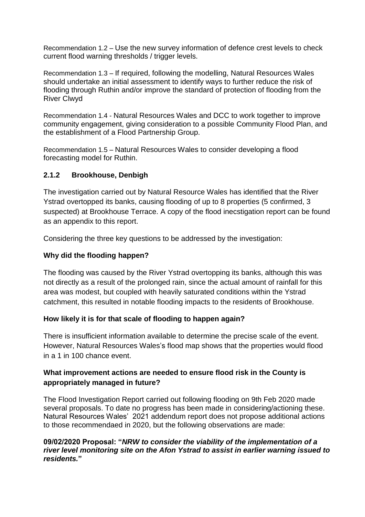Recommendation 1.2 – Use the new survey information of defence crest levels to check current flood warning thresholds / trigger levels.

Recommendation 1.3 – If required, following the modelling, Natural Resources Wales should undertake an initial assessment to identify ways to further reduce the risk of flooding through Ruthin and/or improve the standard of protection of flooding from the River Clwyd

Recommendation 1.4 - Natural Resources Wales and DCC to work together to improve community engagement, giving consideration to a possible Community Flood Plan, and the establishment of a Flood Partnership Group.

Recommendation 1.5 – Natural Resources Wales to consider developing a flood forecasting model for Ruthin.

#### <span id="page-6-0"></span>**2.1.2 Brookhouse, Denbigh**

The investigation carried out by Natural Resource Wales has identified that the River Ystrad overtopped its banks, causing flooding of up to 8 properties (5 confirmed, 3 suspected) at Brookhouse Terrace. A copy of the flood inecstigation report can be found as an appendix to this report.

Considering the three key questions to be addressed by the investigation:

#### **Why did the flooding happen?**

The flooding was caused by the River Ystrad overtopping its banks, although this was not directly as a result of the prolonged rain, since the actual amount of rainfall for this area was modest, but coupled with heavily saturated conditions within the Ystrad catchment, this resulted in notable flooding impacts to the residents of Brookhouse.

#### **How likely it is for that scale of flooding to happen again?**

There is insufficient information available to determine the precise scale of the event. However, Natural Resources Wales's flood map shows that the properties would flood in a 1 in 100 chance event.

#### **What improvement actions are needed to ensure flood risk in the County is appropriately managed in future?**

The Flood Investigation Report carried out following flooding on 9th Feb 2020 made several proposals. To date no progress has been made in considering/actioning these. Natural Resources Wales' 2021 addendum report does not propose additional actions to those recommendaed in 2020, but the following observations are made:

#### **09/02/2020 Proposal: "***NRW to consider the viability of the implementation of a river level monitoring site on the Afon Ystrad to assist in earlier warning issued to residents.***"**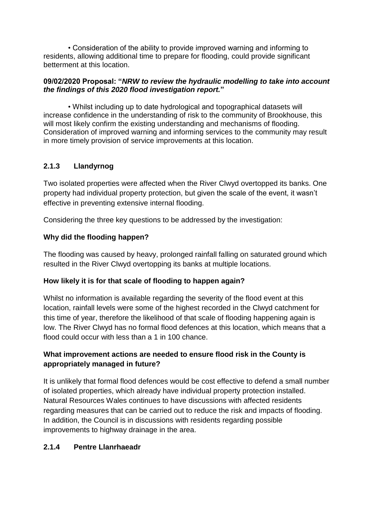• Consideration of the ability to provide improved warning and informing to residents, allowing additional time to prepare for flooding, could provide significant betterment at this location.

#### **09/02/2020 Proposal: "***NRW to review the hydraulic modelling to take into account the findings of this 2020 flood investigation report.***"**

 • Whilst including up to date hydrological and topographical datasets will increase confidence in the understanding of risk to the community of Brookhouse, this will most likely confirm the existing understanding and mechanisms of flooding. Consideration of improved warning and informing services to the community may result in more timely provision of service improvements at this location.

# **2.1.3 Llandyrnog**

Two isolated properties were affected when the River Clwyd overtopped its banks. One property had individual property protection, but given the scale of the event, it wasn't effective in preventing extensive internal flooding.

Considering the three key questions to be addressed by the investigation:

## **Why did the flooding happen?**

The flooding was caused by heavy, prolonged rainfall falling on saturated ground which resulted in the River Clwyd overtopping its banks at multiple locations.

## **How likely it is for that scale of flooding to happen again?**

Whilst no information is available regarding the severity of the flood event at this location, rainfall levels were some of the highest recorded in the Clwyd catchment for this time of year, therefore the likelihood of that scale of flooding happening again is low. The River Clwyd has no formal flood defences at this location, which means that a flood could occur with less than a 1 in 100 chance.

## **What improvement actions are needed to ensure flood risk in the County is appropriately managed in future?**

It is unlikely that formal flood defences would be cost effective to defend a small number of isolated properties, which already have individual property protection installed. Natural Resources Wales continues to have discussions with affected residents regarding measures that can be carried out to reduce the risk and impacts of flooding. In addition, the Council is in discussions with residents regarding possible improvements to highway drainage in the area.

## <span id="page-7-0"></span>**2.1.4 Pentre Llanrhaeadr**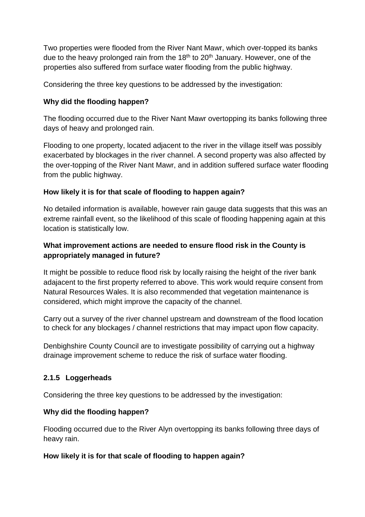Two properties were flooded from the River Nant Mawr, which over-topped its banks due to the heavy prolonged rain from the  $18<sup>th</sup>$  to  $20<sup>th</sup>$  January. However, one of the properties also suffered from surface water flooding from the public highway.

Considering the three key questions to be addressed by the investigation:

## **Why did the flooding happen?**

The flooding occurred due to the River Nant Mawr overtopping its banks following three days of heavy and prolonged rain.

Flooding to one property, located adjacent to the river in the village itself was possibly exacerbated by blockages in the river channel. A second property was also affected by the over-topping of the River Nant Mawr, and in addition suffered surface water flooding from the public highway.

#### **How likely it is for that scale of flooding to happen again?**

No detailed information is available, however rain gauge data suggests that this was an extreme rainfall event, so the likelihood of this scale of flooding happening again at this location is statistically low.

## **What improvement actions are needed to ensure flood risk in the County is appropriately managed in future?**

It might be possible to reduce flood risk by locally raising the height of the river bank adajacent to the first property referred to above. This work would require consent from Natural Resources Wales. It is also recommended that vegetation maintenance is considered, which might improve the capacity of the channel.

Carry out a survey of the river channel upstream and downstream of the flood location to check for any blockages / channel restrictions that may impact upon flow capacity.

Denbighshire County Council are to investigate possibility of carrying out a highway drainage improvement scheme to reduce the risk of surface water flooding.

## **2.1.5 Loggerheads**

Considering the three key questions to be addressed by the investigation:

#### **Why did the flooding happen?**

Flooding occurred due to the River Alyn overtopping its banks following three days of heavy rain.

#### **How likely it is for that scale of flooding to happen again?**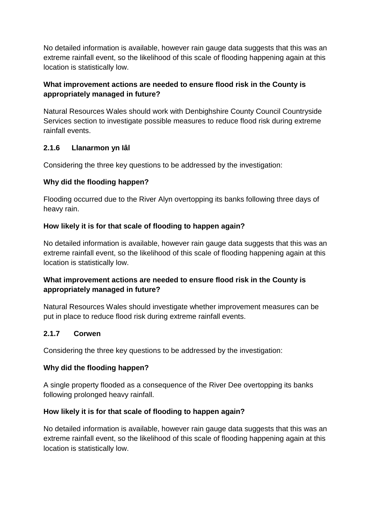No detailed information is available, however rain gauge data suggests that this was an extreme rainfall event, so the likelihood of this scale of flooding happening again at this location is statistically low.

#### **What improvement actions are needed to ensure flood risk in the County is appropriately managed in future?**

Natural Resources Wales should work with Denbighshire County Council Countryside Services section to investigate possible measures to reduce flood risk during extreme rainfall events.

## **2.1.6 Llanarmon yn Iâl**

Considering the three key questions to be addressed by the investigation:

#### **Why did the flooding happen?**

Flooding occurred due to the River Alyn overtopping its banks following three days of heavy rain.

#### **How likely it is for that scale of flooding to happen again?**

No detailed information is available, however rain gauge data suggests that this was an extreme rainfall event, so the likelihood of this scale of flooding happening again at this location is statistically low.

#### **What improvement actions are needed to ensure flood risk in the County is appropriately managed in future?**

Natural Resources Wales should investigate whether improvement measures can be put in place to reduce flood risk during extreme rainfall events.

## **2.1.7 Corwen**

Considering the three key questions to be addressed by the investigation:

#### **Why did the flooding happen?**

A single property flooded as a consequence of the River Dee overtopping its banks following prolonged heavy rainfall.

#### **How likely it is for that scale of flooding to happen again?**

No detailed information is available, however rain gauge data suggests that this was an extreme rainfall event, so the likelihood of this scale of flooding happening again at this location is statistically low.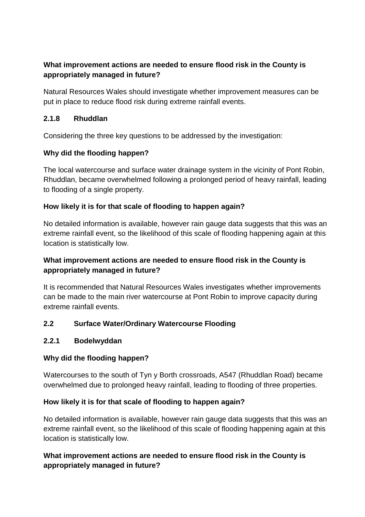## **What improvement actions are needed to ensure flood risk in the County is appropriately managed in future?**

Natural Resources Wales should investigate whether improvement measures can be put in place to reduce flood risk during extreme rainfall events.

#### **2.1.8 Rhuddlan**

Considering the three key questions to be addressed by the investigation:

#### **Why did the flooding happen?**

The local watercourse and surface water drainage system in the vicinity of Pont Robin, Rhuddlan, became overwhelmed following a prolonged period of heavy rainfall, leading to flooding of a single property.

#### **How likely it is for that scale of flooding to happen again?**

No detailed information is available, however rain gauge data suggests that this was an extreme rainfall event, so the likelihood of this scale of flooding happening again at this location is statistically low.

## **What improvement actions are needed to ensure flood risk in the County is appropriately managed in future?**

It is recommended that Natural Resources Wales investigates whether improvements can be made to the main river watercourse at Pont Robin to improve capacity during extreme rainfall events.

#### **2.2 Surface Water/Ordinary Watercourse Flooding**

#### **2.2.1 Bodelwyddan**

## **Why did the flooding happen?**

Watercourses to the south of Tyn y Borth crossroads, A547 (Rhuddlan Road) became overwhelmed due to prolonged heavy rainfall, leading to flooding of three properties.

#### **How likely it is for that scale of flooding to happen again?**

No detailed information is available, however rain gauge data suggests that this was an extreme rainfall event, so the likelihood of this scale of flooding happening again at this location is statistically low.

# **What improvement actions are needed to ensure flood risk in the County is appropriately managed in future?**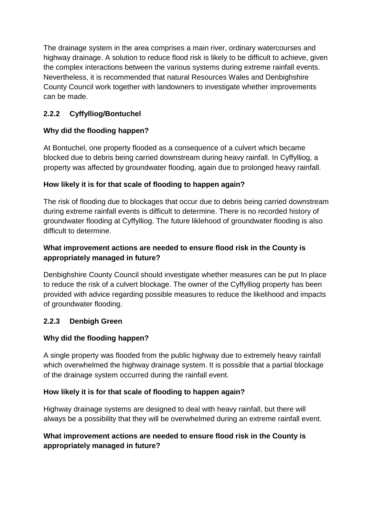The drainage system in the area comprises a main river, ordinary watercourses and highway drainage. A solution to reduce flood risk is likely to be difficult to achieve, given the complex interactions between the various systems during extreme rainfall events. Nevertheless, it is recommended that natural Resources Wales and Denbighshire County Council work together with landowners to investigate whether improvements can be made.

# **2.2.2 Cyffylliog/Bontuchel**

# **Why did the flooding happen?**

At Bontuchel, one property flooded as a consequence of a culvert which became blocked due to debris being carried downstream during heavy rainfall. In Cyffylliog, a property was affected by groundwater flooding, again due to prolonged heavy rainfall.

# **How likely it is for that scale of flooding to happen again?**

The risk of flooding due to blockages that occur due to debris being carried downstream during extreme rainfall events is difficult to determine. There is no recorded history of groundwater flooding at Cyffylliog. The future liklehood of groundwater flooding is also difficult to determine.

# **What improvement actions are needed to ensure flood risk in the County is appropriately managed in future?**

Denbighshire County Council should investigate whether measures can be put In place to reduce the risk of a culvert blockage. The owner of the Cyffylliog property has been provided with advice regarding possible measures to reduce the likelihood and impacts of groundwater flooding.

## **2.2.3 Denbigh Green**

## **Why did the flooding happen?**

A single property was flooded from the public highway due to extremely heavy rainfall which overwhelmed the highway drainage system. It is possible that a partial blockage of the drainage system occurred during the rainfall event.

## **How likely it is for that scale of flooding to happen again?**

Highway drainage systems are designed to deal with heavy rainfall, but there will always be a possibility that they will be overwhelmed during an extreme rainfall event.

## **What improvement actions are needed to ensure flood risk in the County is appropriately managed in future?**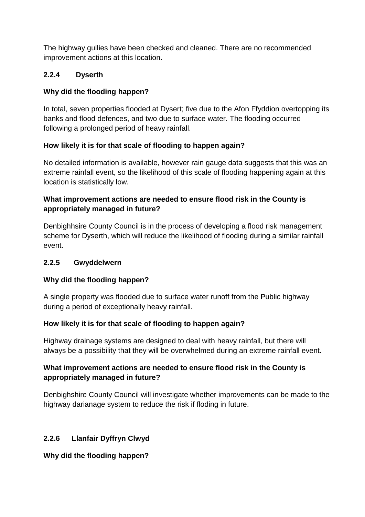The highway gullies have been checked and cleaned. There are no recommended improvement actions at this location.

# **2.2.4 Dyserth**

# **Why did the flooding happen?**

In total, seven properties flooded at Dysert; five due to the Afon Ffyddion overtopping its banks and flood defences, and two due to surface water. The flooding occurred following a prolonged period of heavy rainfall.

## **How likely it is for that scale of flooding to happen again?**

No detailed information is available, however rain gauge data suggests that this was an extreme rainfall event, so the likelihood of this scale of flooding happening again at this location is statistically low.

# **What improvement actions are needed to ensure flood risk in the County is appropriately managed in future?**

Denbighhsire County Council is in the process of developing a flood risk management scheme for Dyserth, which will reduce the likelihood of flooding during a similar rainfall event.

## **2.2.5 Gwyddelwern**

# **Why did the flooding happen?**

A single property was flooded due to surface water runoff from the Public highway during a period of exceptionally heavy rainfall.

## **How likely it is for that scale of flooding to happen again?**

Highway drainage systems are designed to deal with heavy rainfall, but there will always be a possibility that they will be overwhelmed during an extreme rainfall event.

# **What improvement actions are needed to ensure flood risk in the County is appropriately managed in future?**

Denbighshire County Council will investigate whether improvements can be made to the highway darianage system to reduce the risk if floding in future.

# **2.2.6 Llanfair Dyffryn Clwyd**

## **Why did the flooding happen?**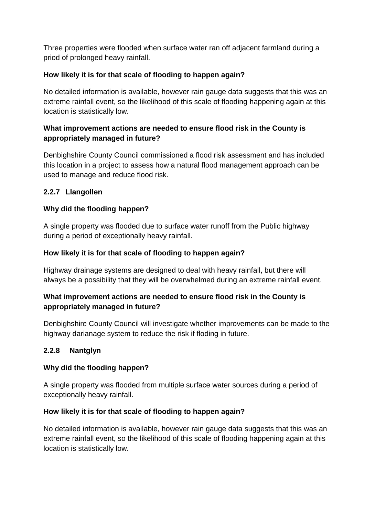Three properties were flooded when surface water ran off adjacent farmland during a priod of prolonged heavy rainfall.

#### **How likely it is for that scale of flooding to happen again?**

No detailed information is available, however rain gauge data suggests that this was an extreme rainfall event, so the likelihood of this scale of flooding happening again at this location is statistically low.

#### **What improvement actions are needed to ensure flood risk in the County is appropriately managed in future?**

Denbighshire County Council commissioned a flood risk assessment and has included this location in a project to assess how a natural flood management approach can be used to manage and reduce flood risk.

#### **2.2.7 Llangollen**

#### **Why did the flooding happen?**

A single property was flooded due to surface water runoff from the Public highway during a period of exceptionally heavy rainfall.

#### **How likely it is for that scale of flooding to happen again?**

Highway drainage systems are designed to deal with heavy rainfall, but there will always be a possibility that they will be overwhelmed during an extreme rainfall event.

## **What improvement actions are needed to ensure flood risk in the County is appropriately managed in future?**

Denbighshire County Council will investigate whether improvements can be made to the highway darianage system to reduce the risk if floding in future.

## **2.2.8 Nantglyn**

#### **Why did the flooding happen?**

A single property was flooded from multiple surface water sources during a period of exceptionally heavy rainfall.

#### **How likely it is for that scale of flooding to happen again?**

No detailed information is available, however rain gauge data suggests that this was an extreme rainfall event, so the likelihood of this scale of flooding happening again at this location is statistically low.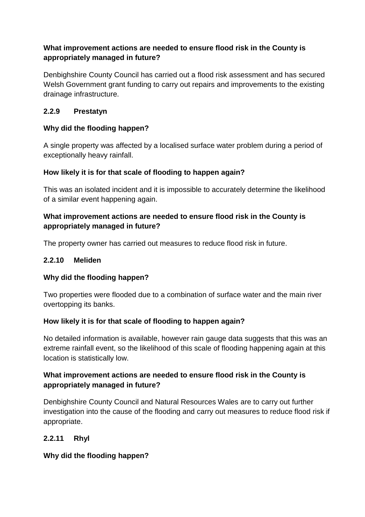# **What improvement actions are needed to ensure flood risk in the County is appropriately managed in future?**

Denbighshire County Council has carried out a flood risk assessment and has secured Welsh Government grant funding to carry out repairs and improvements to the existing drainage infrastructure.

#### **2.2.9 Prestatyn**

#### **Why did the flooding happen?**

A single property was affected by a localised surface water problem during a period of exceptionally heavy rainfall.

#### **How likely it is for that scale of flooding to happen again?**

This was an isolated incident and it is impossible to accurately determine the likelihood of a similar event happening again.

#### **What improvement actions are needed to ensure flood risk in the County is appropriately managed in future?**

The property owner has carried out measures to reduce flood risk in future.

#### **2.2.10 Meliden**

## **Why did the flooding happen?**

Two properties were flooded due to a combination of surface water and the main river overtopping its banks.

#### **How likely it is for that scale of flooding to happen again?**

No detailed information is available, however rain gauge data suggests that this was an extreme rainfall event, so the likelihood of this scale of flooding happening again at this location is statistically low.

# **What improvement actions are needed to ensure flood risk in the County is appropriately managed in future?**

Denbighshire County Council and Natural Resources Wales are to carry out further investigation into the cause of the flooding and carry out measures to reduce flood risk if appropriate.

## **2.2.11 Rhyl**

## **Why did the flooding happen?**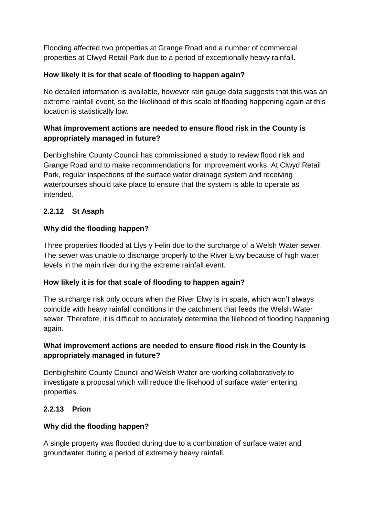Flooding affected two properties at Grange Road and a number of commercial properties at Clwyd Retail Park due to a period of exceptionally heavy rainfall.

# **How likely it is for that scale of flooding to happen again?**

No detailed information is available, however rain gauge data suggests that this was an extreme rainfall event, so the likelihood of this scale of flooding happening again at this location is statistically low.

# **What improvement actions are needed to ensure flood risk in the County is appropriately managed in future?**

Denbighshire County Council has commissioned a study to review flood risk and Grange Road and to make recommendations for improvement works. At Clwyd Retail Park, regular inspections of the surface water drainage system and receiving watercourses should take place to ensure that the system is able to operate as intended.

# **2.2.12 St Asaph**

## **Why did the flooding happen?**

Three properties flooded at Llys y Felin due to the surcharge of a Welsh Water sewer. The sewer was unable to discharge properly to the River Elwy because of high water levels in the main river during the extreme rainfall event.

## **How likely it is for that scale of flooding to happen again?**

The surcharge risk only occurs when the River Elwy is in spate, which won't always coincide with heavy rainfall conditions in the catchment that feeds the Welsh Water sewer. Therefore, it is difficult to accurately determine the lilehood of flooding happening again.

## **What improvement actions are needed to ensure flood risk in the County is appropriately managed in future?**

Denbighshire County Council and Welsh Water are working collaboratively to investigate a proposal which will reduce the likehood of surface water entering properties.

## **2.2.13 Prion**

## **Why did the flooding happen?**

A single property was flooded during due to a combination of surface water and groundwater during a period of extremely heavy rainfall.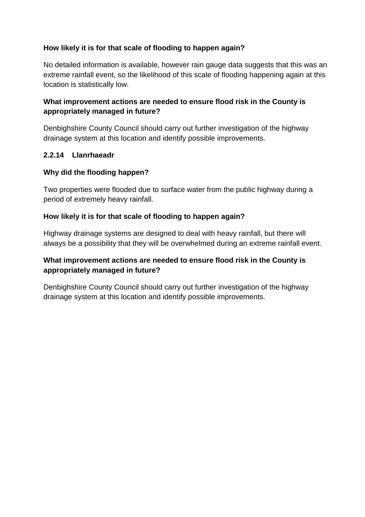#### **How likely it is for that scale of flooding to happen again?**

No detailed information is available, however rain gauge data suggests that this was an extreme rainfall event, so the likelihood of this scale of flooding happening again at this location is statistically low.

#### **What improvement actions are needed to ensure flood risk in the County is appropriately managed in future?**

Denbighshire County Council should carry out further investigation of the highway drainage system at this location and identify possible improvements.

#### **2.2.14 Llanrhaeadr**

#### **Why did the flooding happen?**

Two properties were flooded due to surface water from the public highway during a period of extremely heavy rainfall.

#### **How likely it is for that scale of flooding to happen again?**

Highway drainage systems are designed to deal with heavy rainfall, but there will always be a possibility that they will be overwhelmed during an extreme rainfall event.

#### **What improvement actions are needed to ensure flood risk in the County is appropriately managed in future?**

Denbighshire County Council should carry out further investigation of the highway drainage system at this location and identify possible improvements.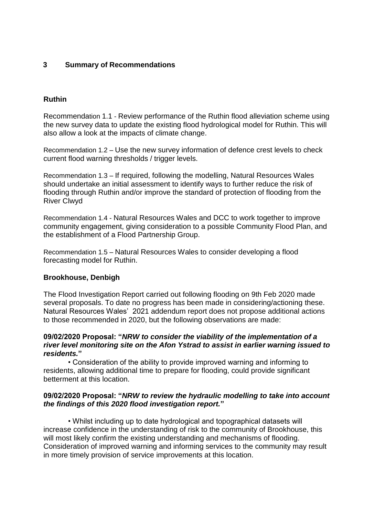#### <span id="page-17-0"></span>**3 Summary of Recommendations**

#### **Ruthin**

Recommendation 1.1 - Review performance of the Ruthin flood alleviation scheme using the new survey data to update the existing flood hydrological model for Ruthin. This will also allow a look at the impacts of climate change.

Recommendation 1.2 – Use the new survey information of defence crest levels to check current flood warning thresholds / trigger levels.

Recommendation 1.3 – If required, following the modelling, Natural Resources Wales should undertake an initial assessment to identify ways to further reduce the risk of flooding through Ruthin and/or improve the standard of protection of flooding from the River Clwyd

Recommendation 1.4 - Natural Resources Wales and DCC to work together to improve community engagement, giving consideration to a possible Community Flood Plan, and the establishment of a Flood Partnership Group.

Recommendation 1.5 – Natural Resources Wales to consider developing a flood forecasting model for Ruthin.

#### **Brookhouse, Denbigh**

The Flood Investigation Report carried out following flooding on 9th Feb 2020 made several proposals. To date no progress has been made in considering/actioning these. Natural Resources Wales' 2021 addendum report does not propose additional actions to those recommended in 2020, but the following observations are made:

#### **09/02/2020 Proposal: "***NRW to consider the viability of the implementation of a river level monitoring site on the Afon Ystrad to assist in earlier warning issued to residents.***"**

 • Consideration of the ability to provide improved warning and informing to residents, allowing additional time to prepare for flooding, could provide significant betterment at this location.

#### **09/02/2020 Proposal: "***NRW to review the hydraulic modelling to take into account the findings of this 2020 flood investigation report.***"**

 • Whilst including up to date hydrological and topographical datasets will increase confidence in the understanding of risk to the community of Brookhouse, this will most likely confirm the existing understanding and mechanisms of flooding. Consideration of improved warning and informing services to the community may result in more timely provision of service improvements at this location.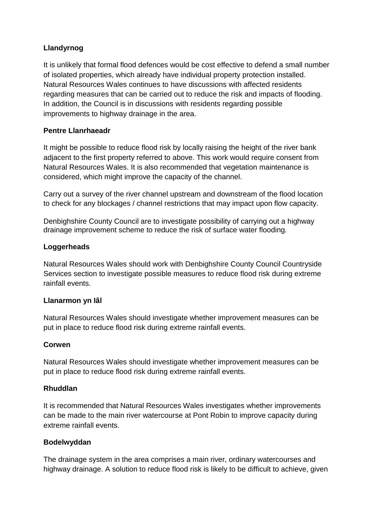#### **Llandyrnog**

It is unlikely that formal flood defences would be cost effective to defend a small number of isolated properties, which already have individual property protection installed. Natural Resources Wales continues to have discussions with affected residents regarding measures that can be carried out to reduce the risk and impacts of flooding. In addition, the Council is in discussions with residents regarding possible improvements to highway drainage in the area.

#### **Pentre Llanrhaeadr**

It might be possible to reduce flood risk by locally raising the height of the river bank adjacent to the first property referred to above. This work would require consent from Natural Resources Wales. It is also recommended that vegetation maintenance is considered, which might improve the capacity of the channel.

Carry out a survey of the river channel upstream and downstream of the flood location to check for any blockages / channel restrictions that may impact upon flow capacity.

Denbighshire County Council are to investigate possibility of carrying out a highway drainage improvement scheme to reduce the risk of surface water flooding.

#### **Loggerheads**

Natural Resources Wales should work with Denbighshire County Council Countryside Services section to investigate possible measures to reduce flood risk during extreme rainfall events.

#### **Llanarmon yn Iâl**

Natural Resources Wales should investigate whether improvement measures can be put in place to reduce flood risk during extreme rainfall events.

#### **Corwen**

Natural Resources Wales should investigate whether improvement measures can be put in place to reduce flood risk during extreme rainfall events.

#### **Rhuddlan**

It is recommended that Natural Resources Wales investigates whether improvements can be made to the main river watercourse at Pont Robin to improve capacity during extreme rainfall events.

#### **Bodelwyddan**

The drainage system in the area comprises a main river, ordinary watercourses and highway drainage. A solution to reduce flood risk is likely to be difficult to achieve, given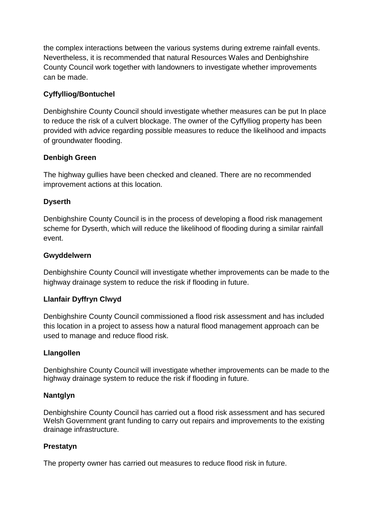the complex interactions between the various systems during extreme rainfall events. Nevertheless, it is recommended that natural Resources Wales and Denbighshire County Council work together with landowners to investigate whether improvements can be made.

## **Cyffylliog/Bontuchel**

Denbighshire County Council should investigate whether measures can be put In place to reduce the risk of a culvert blockage. The owner of the Cyffylliog property has been provided with advice regarding possible measures to reduce the likelihood and impacts of groundwater flooding.

#### **Denbigh Green**

The highway gullies have been checked and cleaned. There are no recommended improvement actions at this location.

#### **Dyserth**

Denbighshire County Council is in the process of developing a flood risk management scheme for Dyserth, which will reduce the likelihood of flooding during a similar rainfall event.

#### **Gwyddelwern**

Denbighshire County Council will investigate whether improvements can be made to the highway drainage system to reduce the risk if flooding in future.

#### **Llanfair Dyffryn Clwyd**

Denbighshire County Council commissioned a flood risk assessment and has included this location in a project to assess how a natural flood management approach can be used to manage and reduce flood risk.

#### **Llangollen**

Denbighshire County Council will investigate whether improvements can be made to the highway drainage system to reduce the risk if flooding in future.

#### **Nantglyn**

Denbighshire County Council has carried out a flood risk assessment and has secured Welsh Government grant funding to carry out repairs and improvements to the existing drainage infrastructure.

#### **Prestatyn**

The property owner has carried out measures to reduce flood risk in future.